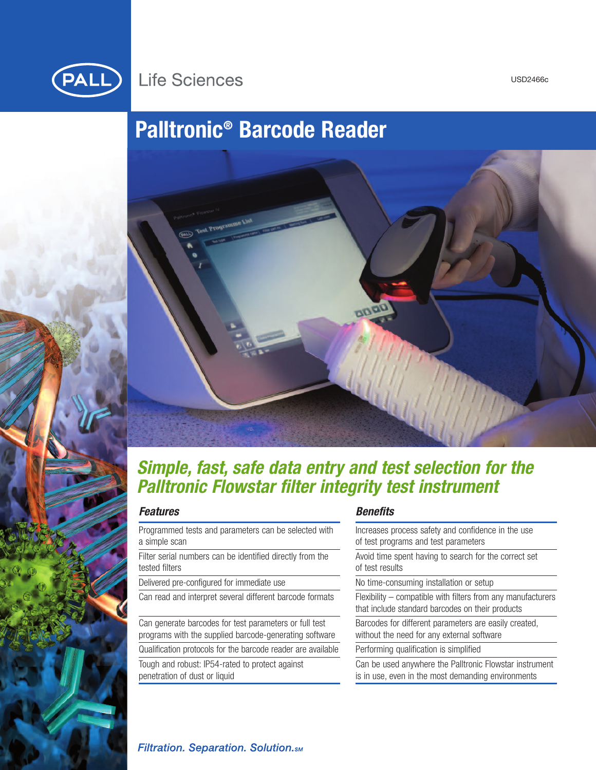

## **Life Sciences**

USD2466c

# **Palltronic® Barcode Reader**



## *Simple, fast, safe data entry and test selection for the Palltronic Flowstar filter integrity test instrument*

## *Features*

Programmed tests and parameters can be selected with a simple scan

Filter serial numbers can be identified directly from the tested filters

Delivered pre-configured for immediate use

Can read and interpret several different barcode formats

Can generate barcodes for test parameters or full test programs with the supplied barcode-generating software Qualification protocols for the barcode reader are available Tough and robust: IP54-rated to protect against

penetration of dust or liquid

## *Benefits*

| Increases process safety and confidence in the use<br>of test programs and test parameters                       |
|------------------------------------------------------------------------------------------------------------------|
| Avoid time spent having to search for the correct set<br>of test results                                         |
| No time-consuming installation or setup                                                                          |
| Flexibility – compatible with filters from any manufacturers<br>that include standard barcodes on their products |
| Barcodes for different parameters are easily created,<br>without the need for any external software              |
| Performing qualification is simplified                                                                           |
| Can be used anywhere the Palltronic Flowstar instrument<br>is in use, even in the most demanding environments    |

## **Filtration. Separation. Solution.**sm